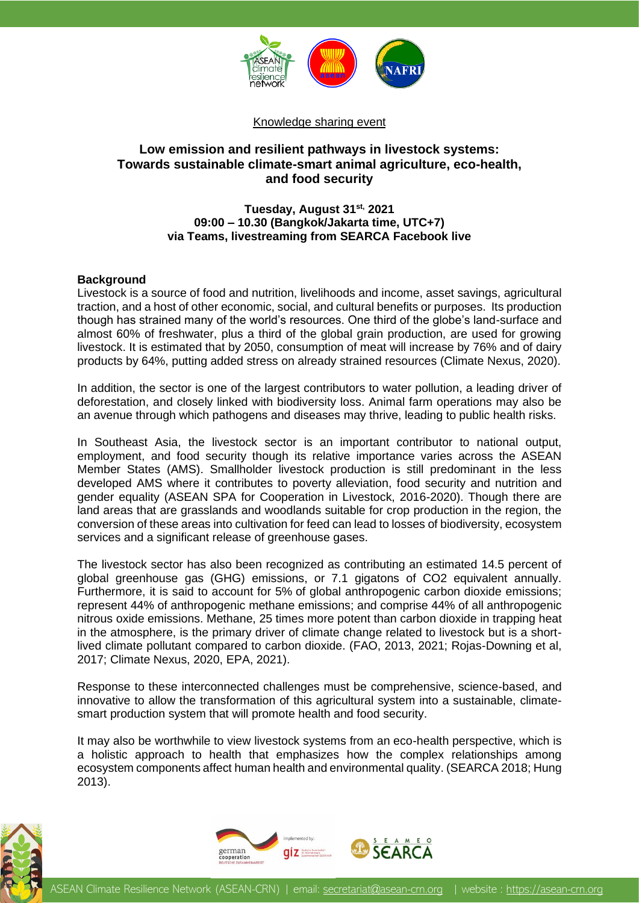

#### Knowledge sharing event

# **Low emission and resilient pathways in livestock systems: Towards sustainable climate-smart animal agriculture, eco-health, and food security**

## **Tuesday, August 31st, 2021 09:00 – 10.30 (Bangkok/Jakarta time, UTC+7) via Teams, livestreaming from SEARCA Facebook live**

#### **Background**

Livestock is a source of food and nutrition, livelihoods and income, asset savings, agricultural traction, and a host of other economic, social, and cultural benefits or purposes. Its production though has strained many of the world's resources. One third of the globe's land-surface and almost 60% of freshwater, plus a third of the global grain production, are used for growing livestock. It is estimated that by 2050, consumption of meat will increase by 76% and of dairy products by 64%, putting added stress on already strained resources (Climate Nexus, 2020).

In addition, the sector is one of the largest contributors to water pollution, a leading driver of deforestation, and closely linked with biodiversity loss. Animal farm operations may also be an avenue through which pathogens and diseases may thrive, leading to public health risks.

In Southeast Asia, the livestock sector is an important contributor to national output, employment, and food security though its relative importance varies across the ASEAN Member States (AMS). Smallholder livestock production is still predominant in the less developed AMS where it contributes to poverty alleviation, food security and nutrition and gender equality (ASEAN SPA for Cooperation in Livestock, 2016-2020). Though there are land areas that are grasslands and woodlands suitable for crop production in the region, the conversion of these areas into cultivation for feed can lead to losses of biodiversity, ecosystem services and a significant release of greenhouse gases.

The livestock sector has also been recognized as contributing an estimated 14.5 percent of global greenhouse gas (GHG) emissions, or 7.1 gigatons of CO2 equivalent annually. Furthermore, it is said to account for 5% of global anthropogenic carbon dioxide emissions; represent 44% of anthropogenic methane emissions; and comprise 44% of all anthropogenic nitrous oxide emissions. Methane, 25 times more potent than carbon dioxide in trapping heat in the atmosphere, is the primary driver of climate change related to livestock but is a shortlived climate pollutant compared to carbon dioxide. (FAO, 2013, 2021; Rojas-Downing et al, 2017; Climate Nexus, 2020, EPA, 2021).

Response to these interconnected challenges must be comprehensive, science-based, and innovative to allow the transformation of this agricultural system into a sustainable, climatesmart production system that will promote health and food security.

It may also be worthwhile to view livestock systems from an eco-health perspective, which is a holistic approach to health that emphasizes how the complex relationships among ecosystem components affect human health and environmental quality. (SEARCA 2018; Hung 2013).



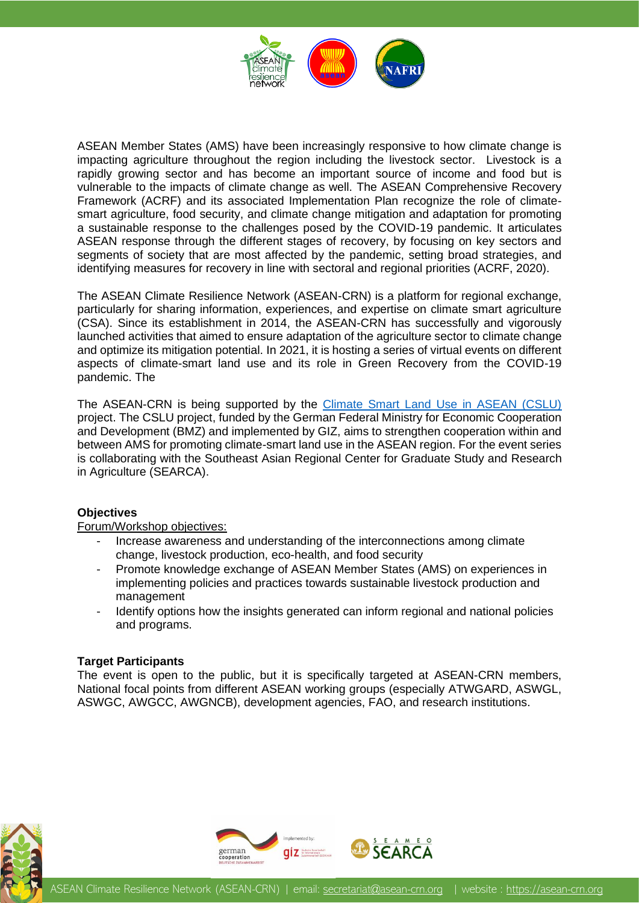

ASEAN Member States (AMS) have been increasingly responsive to how climate change is impacting agriculture throughout the region including the livestock sector. Livestock is a rapidly growing sector and has become an important source of income and food but is vulnerable to the impacts of climate change as well. The ASEAN Comprehensive Recovery Framework (ACRF) and its associated Implementation Plan recognize the role of climatesmart agriculture, food security, and climate change mitigation and adaptation for promoting a sustainable response to the challenges posed by the COVID-19 pandemic. It articulates ASEAN response through the different stages of recovery, by focusing on key sectors and segments of society that are most affected by the pandemic, setting broad strategies, and identifying measures for recovery in line with sectoral and regional priorities (ACRF, 2020).

The ASEAN Climate Resilience Network (ASEAN-CRN) is a platform for regional exchange, particularly for sharing information, experiences, and expertise on climate smart agriculture (CSA). Since its establishment in 2014, the ASEAN-CRN has successfully and vigorously launched activities that aimed to ensure adaptation of the agriculture sector to climate change and optimize its mitigation potential. In 2021, it is hosting a series of virtual events on different aspects of climate-smart land use and its role in Green Recovery from the COVID-19 pandemic. The

The ASEAN-CRN is being supported by the [Climate Smart Land Use in ASEAN \(CSLU\)](https://asean-crn.org/wp-content/uploads/2019/09/2019-09-06_Brochure_GIZ-CSLU-ASEAN_DD.pdf) project. The CSLU project, funded by the German Federal Ministry for Economic Cooperation and Development (BMZ) and implemented by GIZ, aims to strengthen cooperation within and between AMS for promoting climate-smart land use in the ASEAN region. For the event series is collaborating with the Southeast Asian Regional Center for Graduate Study and Research in Agriculture (SEARCA).

## **Objectives**

Forum/Workshop objectives:

- Increase awareness and understanding of the interconnections among climate change, livestock production, eco-health, and food security
- Promote knowledge exchange of ASEAN Member States (AMS) on experiences in implementing policies and practices towards sustainable livestock production and management
- Identify options how the insights generated can inform regional and national policies and programs.

#### **Target Participants**

The event is open to the public, but it is specifically targeted at ASEAN-CRN members, National focal points from different ASEAN working groups (especially ATWGARD, ASWGL, ASWGC, AWGCC, AWGNCB), development agencies, FAO, and research institutions.